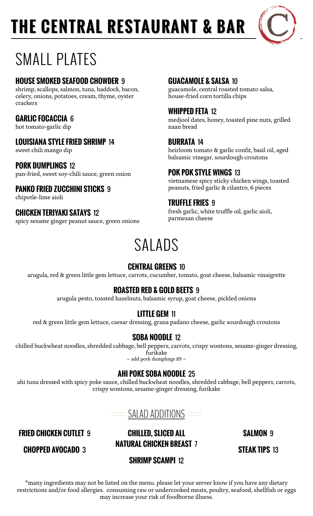# **THE CENTRAL RESTAURANT & BAR**



## SMALL PLATES

#### **HOUSE SMOKED SEAFOOD CHOWDER** 9

shrimp, scallops, salmon, tuna, haddock, bacon, celery, onions, potatoes, cream, thyme, oyster crackers

#### **GARLIC FOCACCIA** 6

hot tomato-garlic dip

#### **LOUISIANA STYLE FRIED SHRIMP** 14

sweet chili mango dip

#### **PORK DUMPLINGS** 12

pan-fried, sweet soy-chili sauce, green onion **POK POK STYLE WINGS** 13

#### **PANKO FRIED ZUCCHINI STICKS 9**

chipotle-lime aioli

#### **CHICKEN TERIYAKI SATAYS** 12

spicy sesame ginger peanut sauce, green onions

#### **GUACAMOLE & SALSA** 10

guacamole, central roasted tomato salsa, house-fried corn tortilla chips

#### **WHIPPED FETA** 12

medjool dates, honey, toasted pine nuts, grilled naan bread

#### **BURRATA** 14

heirloom tomato & garlic confit, basil oil, aged balsamic vinegar, sourdough croutons

vietnamese spicy sticky chicken wings, toasted

#### **TRUFFLE FRIES** 9

fresh garlic, white truffle oil, garlic aioli, parmesan cheese

### SALADS

#### **CENTRAL GREENS** 10

arugula, red & green little gem lettuce, carrots, cucumber, tomato, goat cheese, balsamic vinaigrette

#### **ROASTED RED & GOLD BEETS** 9

arugula pesto, toasted hazelnuts, balsamic syrup, goat cheese, pickled onions

#### **LITTLE GEM** 11

red & green little gem lettuce, caesar dressing, grana padano cheese, garlic sourdough croutons

#### **SOBA NOODLE** 12

chilled buckwheat noodles, shredded cabbage, bell peppers, carrots, crispy wontons, sesame-ginger dressing, furikake

– add pork dumplings \$9 –

#### **AHI POKE SOBA NOODLE** 25

ahi tuna dressed with spicy poke sauce, chilled buckwheat noodles, shredded cabbage, bell peppers, carrots, crispy wontons, sesame-ginger dressing, furikake



**FRIED CHICKEN CUTLET** 9 **CHILLED, SLICED ALL NATURAL CHICKEN BREAST** 7 **SALMON** 9

**STEAK TIPS** 13

#### **CHOPPED AVOCADO** 3

**SHRIMP SCAMPI** 12

\*many ingredients may not be listed on the menu. please let your server know if you have any dietary restrictions and/or food allergies. consuming raw or undercooked meats, poultry, seafood, shellfish or eggs may increase your risk of foodborne illness.